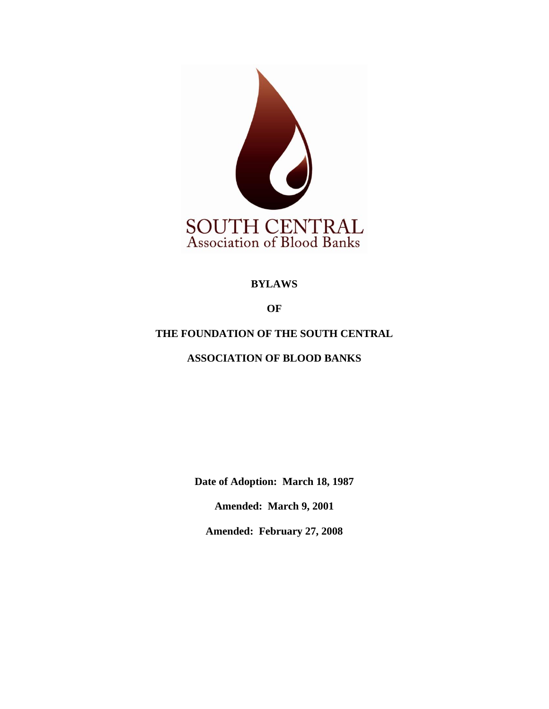

## **BYLAWS**

**OF**

# **THE FOUNDATION OF THE SOUTH CENTRAL**

# **ASSOCIATION OF BLOOD BANKS**

**Date of Adoption: March 18, 1987**

**Amended: March 9, 2001** 

**Amended: February 27, 2008**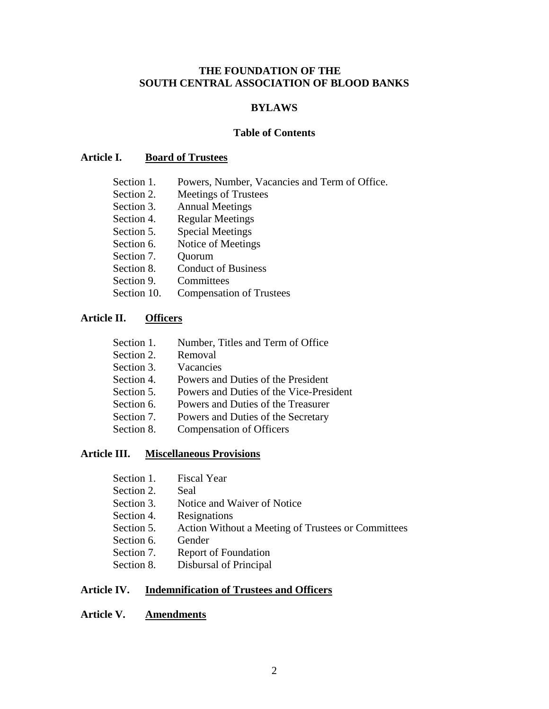### **THE FOUNDATION OF THE SOUTH CENTRAL ASSOCIATION OF BLOOD BANKS**

### **BYLAWS**

### **Table of Contents**

### **Article I. Board of Trustees**

- Section 1. Powers, Number, Vacancies and Term of Office.
- Section 2. Meetings of Trustees
- Section 3. Annual Meetings
- Section 4. Regular Meetings
- Section 5. Special Meetings
- Section 6. Notice of Meetings
- Section 7. Quorum
- Section 8. Conduct of Business
- Section 9. Committees
- Section 10. Compensation of Trustees

### **Article II. Officers**

- Section 1. Number, Titles and Term of Office
- Section 2. Removal
- Section 3. Vacancies
- Section 4. Powers and Duties of the President
- Section 5. Powers and Duties of the Vice-President
- Section 6. Powers and Duties of the Treasurer
- Section 7. Powers and Duties of the Secretary
- Section 8. Compensation of Officers

### **Article III. Miscellaneous Provisions**

- Section 1. Fiscal Year
- Section 2. Seal
- Section 3. Notice and Waiver of Notice
- Section 4. Resignations
- Section 5. Action Without a Meeting of Trustees or Committees
- Section 6. Gender
- Section 7. Report of Foundation
- Section 8. Disbursal of Principal

### **Article IV. Indemnification of Trustees and Officers**

### **Article V. Amendments**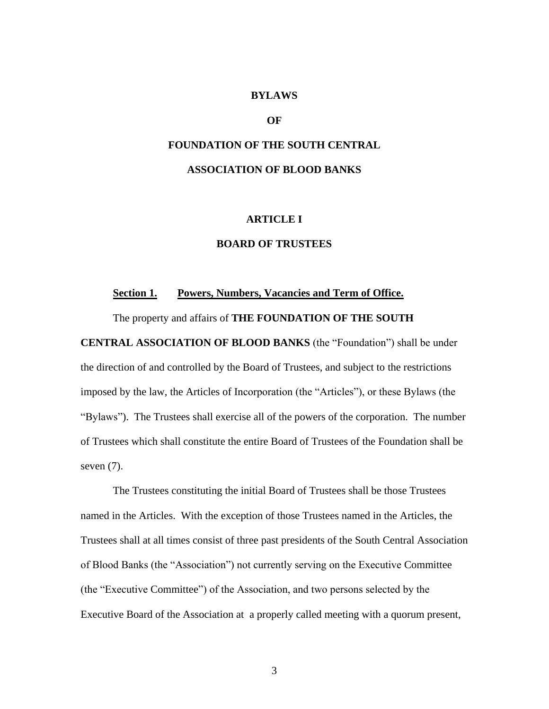### **BYLAWS**

### **OF**

# **FOUNDATION OF THE SOUTH CENTRAL ASSOCIATION OF BLOOD BANKS**

### **ARTICLE I**

#### **BOARD OF TRUSTEES**

#### **Section 1. Powers, Numbers, Vacancies and Term of Office.**

The property and affairs of **THE FOUNDATION OF THE SOUTH** 

**CENTRAL ASSOCIATION OF BLOOD BANKS** (the "Foundation") shall be under

the direction of and controlled by the Board of Trustees, and subject to the restrictions imposed by the law, the Articles of Incorporation (the "Articles"), or these Bylaws (the "Bylaws"). The Trustees shall exercise all of the powers of the corporation. The number of Trustees which shall constitute the entire Board of Trustees of the Foundation shall be seven (7).

The Trustees constituting the initial Board of Trustees shall be those Trustees named in the Articles. With the exception of those Trustees named in the Articles, the Trustees shall at all times consist of three past presidents of the South Central Association of Blood Banks (the "Association") not currently serving on the Executive Committee (the "Executive Committee") of the Association, and two persons selected by the Executive Board of the Association at a properly called meeting with a quorum present,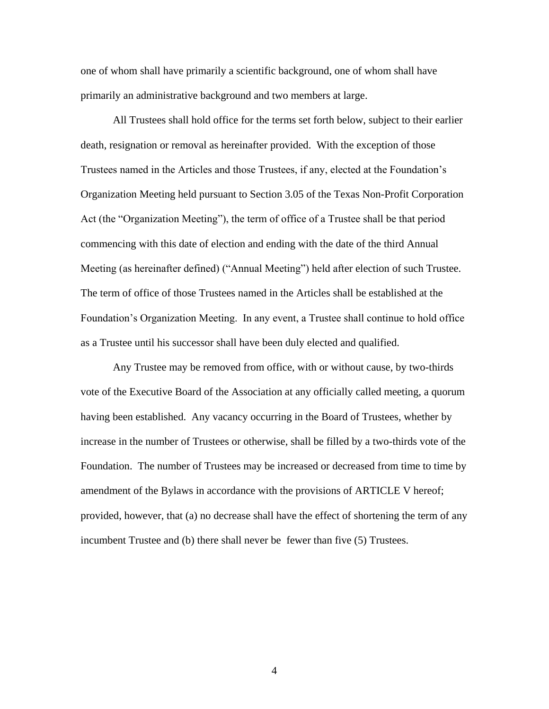one of whom shall have primarily a scientific background, one of whom shall have primarily an administrative background and two members at large.

All Trustees shall hold office for the terms set forth below, subject to their earlier death, resignation or removal as hereinafter provided. With the exception of those Trustees named in the Articles and those Trustees, if any, elected at the Foundation's Organization Meeting held pursuant to Section 3.05 of the Texas Non-Profit Corporation Act (the "Organization Meeting"), the term of office of a Trustee shall be that period commencing with this date of election and ending with the date of the third Annual Meeting (as hereinafter defined) ("Annual Meeting") held after election of such Trustee. The term of office of those Trustees named in the Articles shall be established at the Foundation's Organization Meeting. In any event, a Trustee shall continue to hold office as a Trustee until his successor shall have been duly elected and qualified.

Any Trustee may be removed from office, with or without cause, by two-thirds vote of the Executive Board of the Association at any officially called meeting, a quorum having been established. Any vacancy occurring in the Board of Trustees, whether by increase in the number of Trustees or otherwise, shall be filled by a two-thirds vote of the Foundation. The number of Trustees may be increased or decreased from time to time by amendment of the Bylaws in accordance with the provisions of ARTICLE V hereof; provided, however, that (a) no decrease shall have the effect of shortening the term of any incumbent Trustee and (b) there shall never be fewer than five (5) Trustees.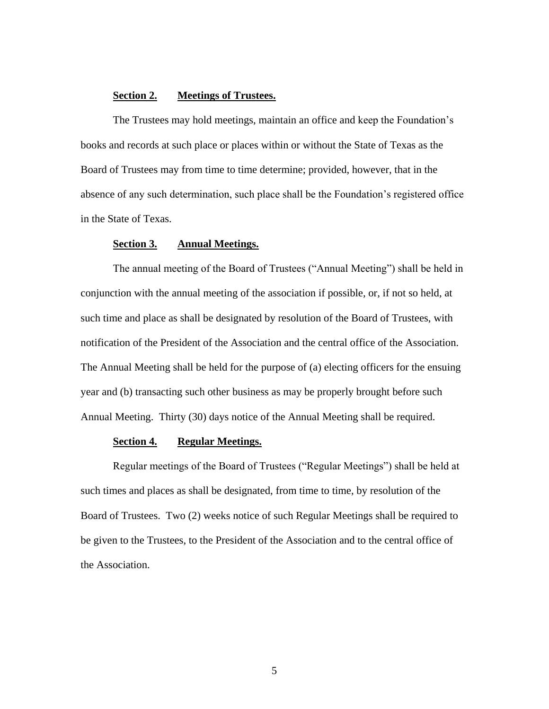### **Section 2. Meetings of Trustees.**

The Trustees may hold meetings, maintain an office and keep the Foundation's books and records at such place or places within or without the State of Texas as the Board of Trustees may from time to time determine; provided, however, that in the absence of any such determination, such place shall be the Foundation's registered office in the State of Texas.

#### **Section 3. Annual Meetings.**

The annual meeting of the Board of Trustees ("Annual Meeting") shall be held in conjunction with the annual meeting of the association if possible, or, if not so held, at such time and place as shall be designated by resolution of the Board of Trustees, with notification of the President of the Association and the central office of the Association. The Annual Meeting shall be held for the purpose of (a) electing officers for the ensuing year and (b) transacting such other business as may be properly brought before such Annual Meeting. Thirty (30) days notice of the Annual Meeting shall be required.

### **Section 4. Regular Meetings.**

Regular meetings of the Board of Trustees ("Regular Meetings") shall be held at such times and places as shall be designated, from time to time, by resolution of the Board of Trustees. Two (2) weeks notice of such Regular Meetings shall be required to be given to the Trustees, to the President of the Association and to the central office of the Association.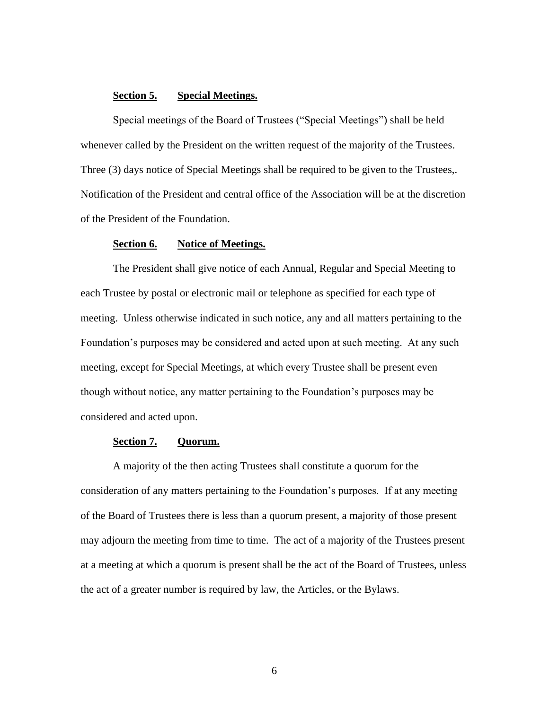### **Section 5. Special Meetings.**

Special meetings of the Board of Trustees ("Special Meetings") shall be held whenever called by the President on the written request of the majority of the Trustees. Three (3) days notice of Special Meetings shall be required to be given to the Trustees,. Notification of the President and central office of the Association will be at the discretion of the President of the Foundation.

### **Section 6. Notice of Meetings.**

The President shall give notice of each Annual, Regular and Special Meeting to each Trustee by postal or electronic mail or telephone as specified for each type of meeting. Unless otherwise indicated in such notice, any and all matters pertaining to the Foundation's purposes may be considered and acted upon at such meeting. At any such meeting, except for Special Meetings, at which every Trustee shall be present even though without notice, any matter pertaining to the Foundation's purposes may be considered and acted upon.

#### **Section 7. Quorum.**

A majority of the then acting Trustees shall constitute a quorum for the consideration of any matters pertaining to the Foundation's purposes. If at any meeting of the Board of Trustees there is less than a quorum present, a majority of those present may adjourn the meeting from time to time. The act of a majority of the Trustees present at a meeting at which a quorum is present shall be the act of the Board of Trustees, unless the act of a greater number is required by law, the Articles, or the Bylaws.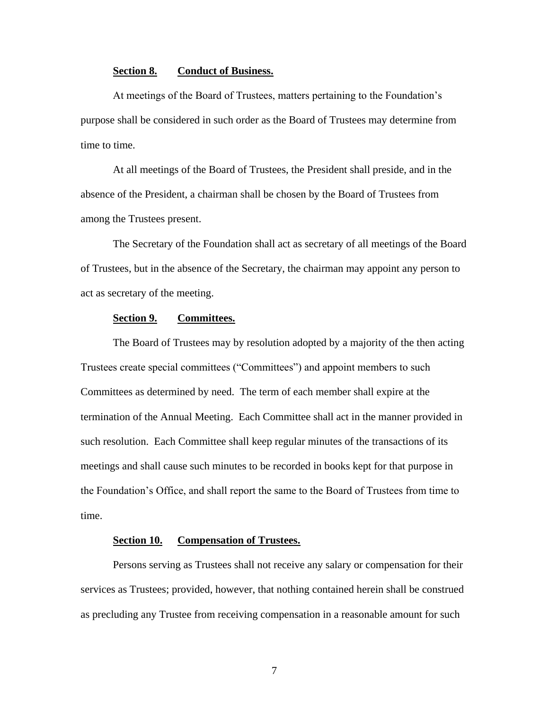#### **Section 8. Conduct of Business.**

At meetings of the Board of Trustees, matters pertaining to the Foundation's purpose shall be considered in such order as the Board of Trustees may determine from time to time.

At all meetings of the Board of Trustees, the President shall preside, and in the absence of the President, a chairman shall be chosen by the Board of Trustees from among the Trustees present.

The Secretary of the Foundation shall act as secretary of all meetings of the Board of Trustees, but in the absence of the Secretary, the chairman may appoint any person to act as secretary of the meeting.

### **Section 9. Committees.**

The Board of Trustees may by resolution adopted by a majority of the then acting Trustees create special committees ("Committees") and appoint members to such Committees as determined by need. The term of each member shall expire at the termination of the Annual Meeting. Each Committee shall act in the manner provided in such resolution. Each Committee shall keep regular minutes of the transactions of its meetings and shall cause such minutes to be recorded in books kept for that purpose in the Foundation's Office, and shall report the same to the Board of Trustees from time to time.

### **Section 10. Compensation of Trustees.**

Persons serving as Trustees shall not receive any salary or compensation for their services as Trustees; provided, however, that nothing contained herein shall be construed as precluding any Trustee from receiving compensation in a reasonable amount for such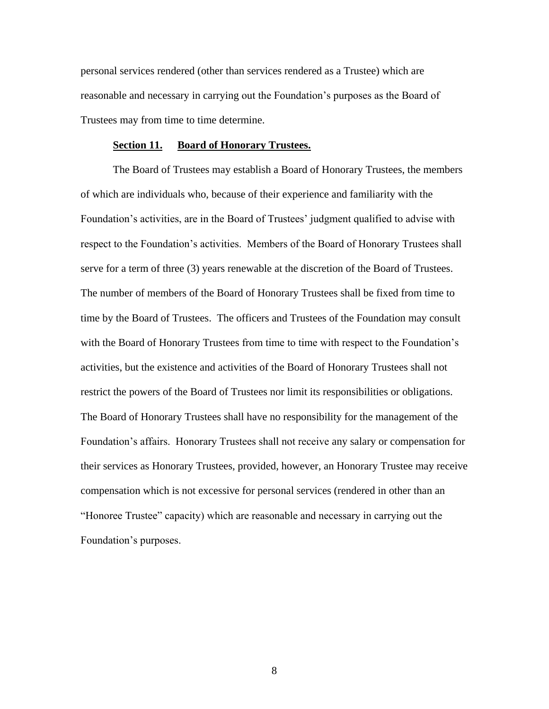personal services rendered (other than services rendered as a Trustee) which are reasonable and necessary in carrying out the Foundation's purposes as the Board of Trustees may from time to time determine.

#### **Section 11. Board of Honorary Trustees.**

The Board of Trustees may establish a Board of Honorary Trustees, the members of which are individuals who, because of their experience and familiarity with the Foundation's activities, are in the Board of Trustees' judgment qualified to advise with respect to the Foundation's activities. Members of the Board of Honorary Trustees shall serve for a term of three (3) years renewable at the discretion of the Board of Trustees. The number of members of the Board of Honorary Trustees shall be fixed from time to time by the Board of Trustees. The officers and Trustees of the Foundation may consult with the Board of Honorary Trustees from time to time with respect to the Foundation's activities, but the existence and activities of the Board of Honorary Trustees shall not restrict the powers of the Board of Trustees nor limit its responsibilities or obligations. The Board of Honorary Trustees shall have no responsibility for the management of the Foundation's affairs. Honorary Trustees shall not receive any salary or compensation for their services as Honorary Trustees, provided, however, an Honorary Trustee may receive compensation which is not excessive for personal services (rendered in other than an "Honoree Trustee" capacity) which are reasonable and necessary in carrying out the Foundation's purposes.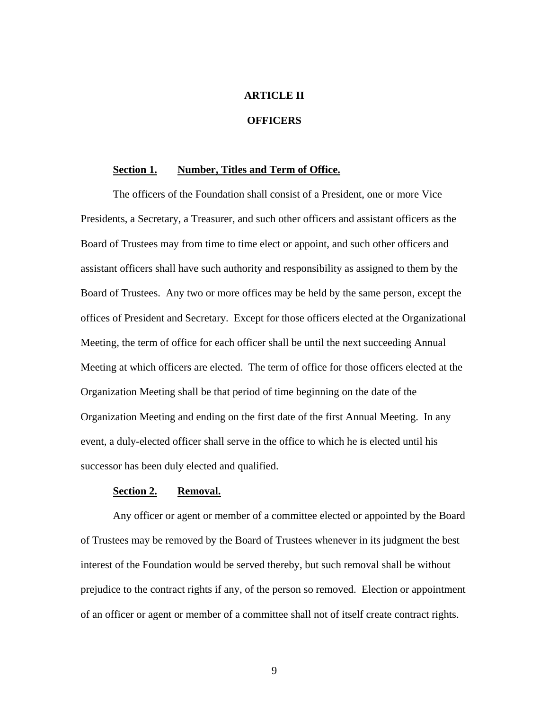### **ARTICLE II**

### **OFFICERS**

### **Section 1. Number, Titles and Term of Office.**

The officers of the Foundation shall consist of a President, one or more Vice Presidents, a Secretary, a Treasurer, and such other officers and assistant officers as the Board of Trustees may from time to time elect or appoint, and such other officers and assistant officers shall have such authority and responsibility as assigned to them by the Board of Trustees. Any two or more offices may be held by the same person, except the offices of President and Secretary. Except for those officers elected at the Organizational Meeting, the term of office for each officer shall be until the next succeeding Annual Meeting at which officers are elected. The term of office for those officers elected at the Organization Meeting shall be that period of time beginning on the date of the Organization Meeting and ending on the first date of the first Annual Meeting. In any event, a duly-elected officer shall serve in the office to which he is elected until his successor has been duly elected and qualified.

#### **Section 2. Removal.**

Any officer or agent or member of a committee elected or appointed by the Board of Trustees may be removed by the Board of Trustees whenever in its judgment the best interest of the Foundation would be served thereby, but such removal shall be without prejudice to the contract rights if any, of the person so removed. Election or appointment of an officer or agent or member of a committee shall not of itself create contract rights.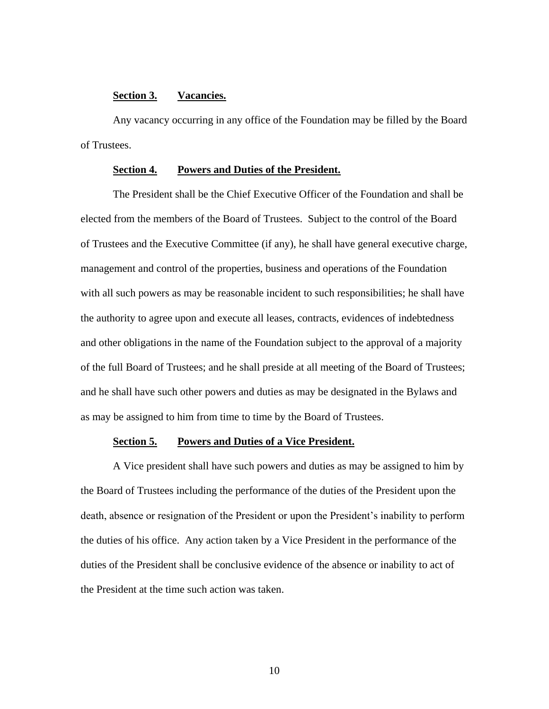### **Section 3. Vacancies.**

Any vacancy occurring in any office of the Foundation may be filled by the Board of Trustees.

#### **Section 4. Powers and Duties of the President.**

The President shall be the Chief Executive Officer of the Foundation and shall be elected from the members of the Board of Trustees. Subject to the control of the Board of Trustees and the Executive Committee (if any), he shall have general executive charge, management and control of the properties, business and operations of the Foundation with all such powers as may be reasonable incident to such responsibilities; he shall have the authority to agree upon and execute all leases, contracts, evidences of indebtedness and other obligations in the name of the Foundation subject to the approval of a majority of the full Board of Trustees; and he shall preside at all meeting of the Board of Trustees; and he shall have such other powers and duties as may be designated in the Bylaws and as may be assigned to him from time to time by the Board of Trustees.

#### **Section 5. Powers and Duties of a Vice President.**

A Vice president shall have such powers and duties as may be assigned to him by the Board of Trustees including the performance of the duties of the President upon the death, absence or resignation of the President or upon the President's inability to perform the duties of his office. Any action taken by a Vice President in the performance of the duties of the President shall be conclusive evidence of the absence or inability to act of the President at the time such action was taken.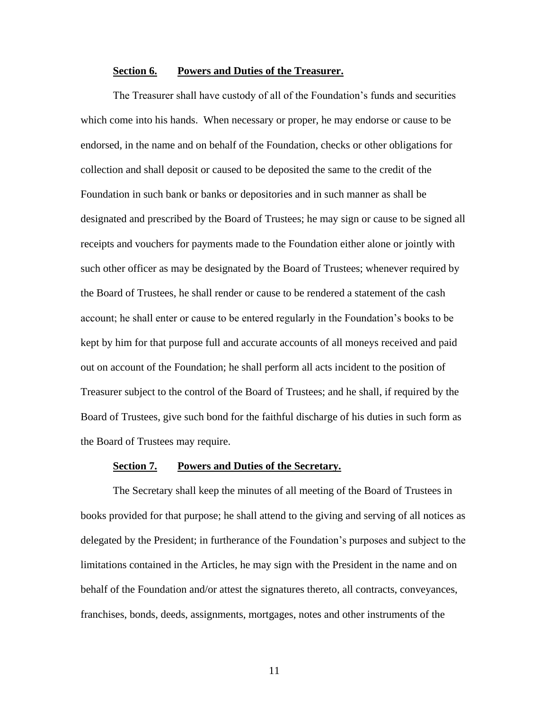#### **Section 6. Powers and Duties of the Treasurer.**

The Treasurer shall have custody of all of the Foundation's funds and securities which come into his hands. When necessary or proper, he may endorse or cause to be endorsed, in the name and on behalf of the Foundation, checks or other obligations for collection and shall deposit or caused to be deposited the same to the credit of the Foundation in such bank or banks or depositories and in such manner as shall be designated and prescribed by the Board of Trustees; he may sign or cause to be signed all receipts and vouchers for payments made to the Foundation either alone or jointly with such other officer as may be designated by the Board of Trustees; whenever required by the Board of Trustees, he shall render or cause to be rendered a statement of the cash account; he shall enter or cause to be entered regularly in the Foundation's books to be kept by him for that purpose full and accurate accounts of all moneys received and paid out on account of the Foundation; he shall perform all acts incident to the position of Treasurer subject to the control of the Board of Trustees; and he shall, if required by the Board of Trustees, give such bond for the faithful discharge of his duties in such form as the Board of Trustees may require.

### **Section 7. Powers and Duties of the Secretary.**

The Secretary shall keep the minutes of all meeting of the Board of Trustees in books provided for that purpose; he shall attend to the giving and serving of all notices as delegated by the President; in furtherance of the Foundation's purposes and subject to the limitations contained in the Articles, he may sign with the President in the name and on behalf of the Foundation and/or attest the signatures thereto, all contracts, conveyances, franchises, bonds, deeds, assignments, mortgages, notes and other instruments of the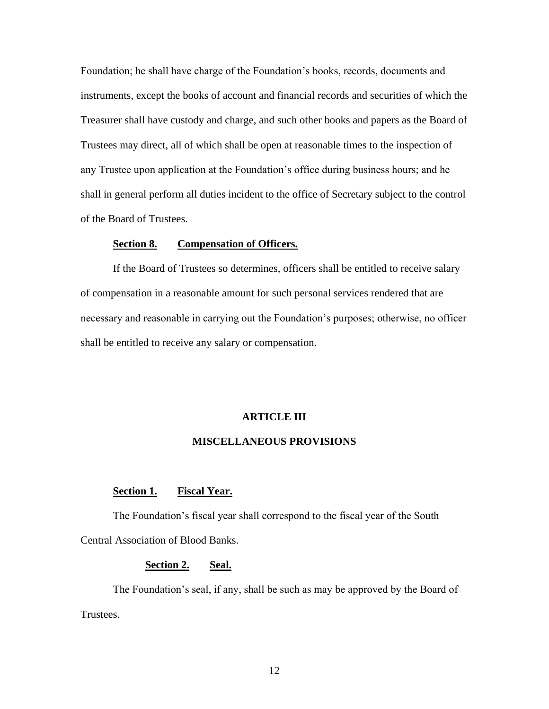Foundation; he shall have charge of the Foundation's books, records, documents and instruments, except the books of account and financial records and securities of which the Treasurer shall have custody and charge, and such other books and papers as the Board of Trustees may direct, all of which shall be open at reasonable times to the inspection of any Trustee upon application at the Foundation's office during business hours; and he shall in general perform all duties incident to the office of Secretary subject to the control of the Board of Trustees.

#### **Section 8. Compensation of Officers.**

If the Board of Trustees so determines, officers shall be entitled to receive salary of compensation in a reasonable amount for such personal services rendered that are necessary and reasonable in carrying out the Foundation's purposes; otherwise, no officer shall be entitled to receive any salary or compensation.

#### **ARTICLE III**

#### **MISCELLANEOUS PROVISIONS**

#### **Section 1. Fiscal Year.**

The Foundation's fiscal year shall correspond to the fiscal year of the South Central Association of Blood Banks.

### **Section 2. Seal.**

The Foundation's seal, if any, shall be such as may be approved by the Board of Trustees.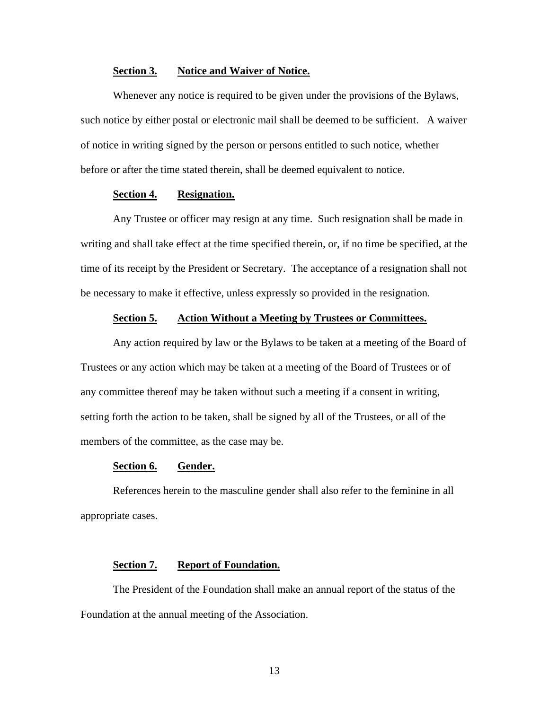#### **Section 3. Notice and Waiver of Notice.**

Whenever any notice is required to be given under the provisions of the Bylaws, such notice by either postal or electronic mail shall be deemed to be sufficient. A waiver of notice in writing signed by the person or persons entitled to such notice, whether before or after the time stated therein, shall be deemed equivalent to notice.

### **Section 4. Resignation.**

Any Trustee or officer may resign at any time. Such resignation shall be made in writing and shall take effect at the time specified therein, or, if no time be specified, at the time of its receipt by the President or Secretary. The acceptance of a resignation shall not be necessary to make it effective, unless expressly so provided in the resignation.

### **Section 5. Action Without a Meeting by Trustees or Committees.**

Any action required by law or the Bylaws to be taken at a meeting of the Board of Trustees or any action which may be taken at a meeting of the Board of Trustees or of any committee thereof may be taken without such a meeting if a consent in writing, setting forth the action to be taken, shall be signed by all of the Trustees, or all of the members of the committee, as the case may be.

### **Section 6. Gender.**

References herein to the masculine gender shall also refer to the feminine in all appropriate cases.

### **Section 7. Report of Foundation.**

The President of the Foundation shall make an annual report of the status of the Foundation at the annual meeting of the Association.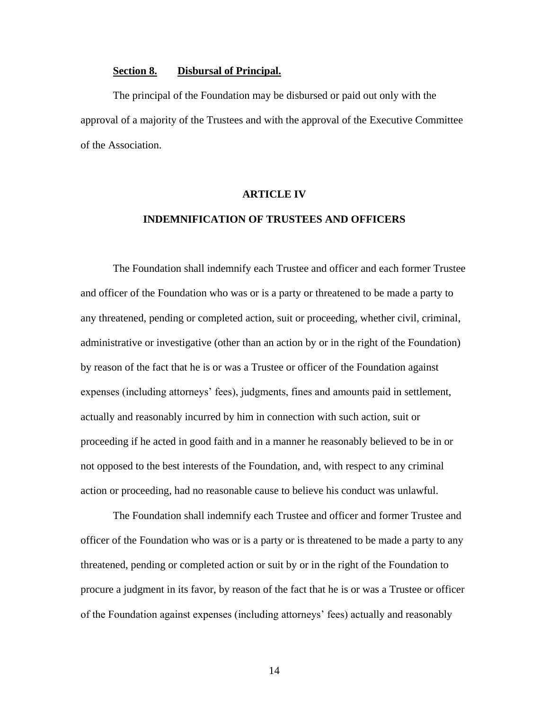#### **Section 8. Disbursal of Principal.**

The principal of the Foundation may be disbursed or paid out only with the approval of a majority of the Trustees and with the approval of the Executive Committee of the Association.

#### **ARTICLE IV**

### **INDEMNIFICATION OF TRUSTEES AND OFFICERS**

The Foundation shall indemnify each Trustee and officer and each former Trustee and officer of the Foundation who was or is a party or threatened to be made a party to any threatened, pending or completed action, suit or proceeding, whether civil, criminal, administrative or investigative (other than an action by or in the right of the Foundation) by reason of the fact that he is or was a Trustee or officer of the Foundation against expenses (including attorneys' fees), judgments, fines and amounts paid in settlement, actually and reasonably incurred by him in connection with such action, suit or proceeding if he acted in good faith and in a manner he reasonably believed to be in or not opposed to the best interests of the Foundation, and, with respect to any criminal action or proceeding, had no reasonable cause to believe his conduct was unlawful.

The Foundation shall indemnify each Trustee and officer and former Trustee and officer of the Foundation who was or is a party or is threatened to be made a party to any threatened, pending or completed action or suit by or in the right of the Foundation to procure a judgment in its favor, by reason of the fact that he is or was a Trustee or officer of the Foundation against expenses (including attorneys' fees) actually and reasonably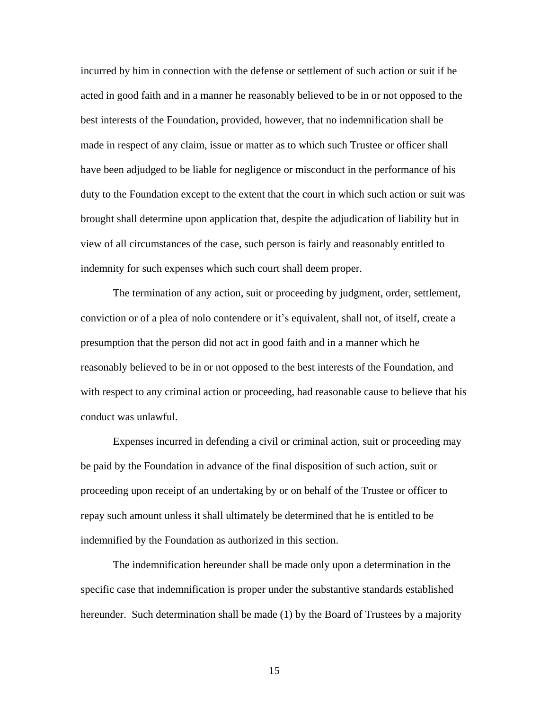incurred by him in connection with the defense or settlement of such action or suit if he acted in good faith and in a manner he reasonably believed to be in or not opposed to the best interests of the Foundation, provided, however, that no indemnification shall be made in respect of any claim, issue or matter as to which such Trustee or officer shall have been adjudged to be liable for negligence or misconduct in the performance of his duty to the Foundation except to the extent that the court in which such action or suit was brought shall determine upon application that, despite the adjudication of liability but in view of all circumstances of the case, such person is fairly and reasonably entitled to indemnity for such expenses which such court shall deem proper.

The termination of any action, suit or proceeding by judgment, order, settlement, conviction or of a plea of nolo contendere or it's equivalent, shall not, of itself, create a presumption that the person did not act in good faith and in a manner which he reasonably believed to be in or not opposed to the best interests of the Foundation, and with respect to any criminal action or proceeding, had reasonable cause to believe that his conduct was unlawful.

Expenses incurred in defending a civil or criminal action, suit or proceeding may be paid by the Foundation in advance of the final disposition of such action, suit or proceeding upon receipt of an undertaking by or on behalf of the Trustee or officer to repay such amount unless it shall ultimately be determined that he is entitled to be indemnified by the Foundation as authorized in this section.

The indemnification hereunder shall be made only upon a determination in the specific case that indemnification is proper under the substantive standards established hereunder. Such determination shall be made (1) by the Board of Trustees by a majority